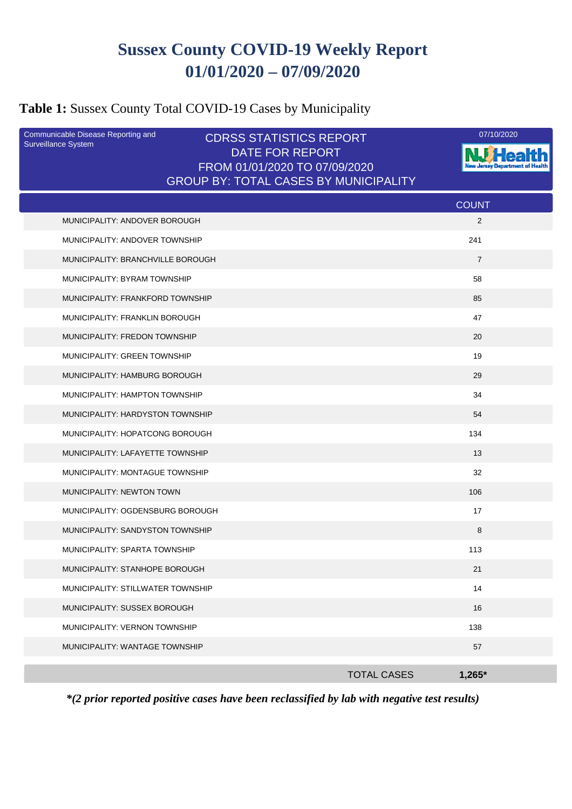# **Sussex County COVID-19 Weekly Report 01/01/2020 – 07/09/2020**

# **Table 1:** Sussex County Total COVID-19 Cases by Municipality

| Communicable Disease Reporting and<br>Surveillance System | <b>CDRSS STATISTICS REPORT</b>                          | 07/10/2020                     |
|-----------------------------------------------------------|---------------------------------------------------------|--------------------------------|
|                                                           | <b>DATE FOR REPORT</b><br>FROM 01/01/2020 TO 07/09/2020 |                                |
|                                                           | <b>GROUP BY: TOTAL CASES BY MUNICIPALITY</b>            |                                |
|                                                           |                                                         | <b>COUNT</b>                   |
| MUNICIPALITY: ANDOVER BOROUGH                             |                                                         | 2                              |
| MUNICIPALITY: ANDOVER TOWNSHIP                            |                                                         | 241                            |
| MUNICIPALITY: BRANCHVILLE BOROUGH                         |                                                         | $\overline{7}$                 |
| MUNICIPALITY: BYRAM TOWNSHIP                              |                                                         | 58                             |
| MUNICIPALITY: FRANKFORD TOWNSHIP                          |                                                         | 85                             |
| <b>MUNICIPALITY: FRANKLIN BOROUGH</b>                     |                                                         | 47                             |
| MUNICIPALITY: FREDON TOWNSHIP                             |                                                         | 20                             |
| MUNICIPALITY: GREEN TOWNSHIP                              |                                                         | 19                             |
| MUNICIPALITY: HAMBURG BOROUGH                             |                                                         | 29                             |
| <b>MUNICIPALITY: HAMPTON TOWNSHIP</b>                     |                                                         | 34                             |
| MUNICIPALITY: HARDYSTON TOWNSHIP                          |                                                         | 54                             |
| MUNICIPALITY: HOPATCONG BOROUGH                           |                                                         | 134                            |
| MUNICIPALITY: LAFAYETTE TOWNSHIP                          |                                                         | 13                             |
| MUNICIPALITY: MONTAGUE TOWNSHIP                           |                                                         | 32                             |
| MUNICIPALITY: NEWTON TOWN                                 |                                                         | 106                            |
| MUNICIPALITY: OGDENSBURG BOROUGH                          |                                                         | 17                             |
| MUNICIPALITY: SANDYSTON TOWNSHIP                          |                                                         | 8                              |
| MUNICIPALITY: SPARTA TOWNSHIP                             |                                                         | 113                            |
| MUNICIPALITY: STANHOPE BOROUGH                            |                                                         | 21                             |
| MUNICIPALITY: STILLWATER TOWNSHIP                         |                                                         | 14                             |
| MUNICIPALITY: SUSSEX BOROUGH                              |                                                         | 16                             |
| MUNICIPALITY: VERNON TOWNSHIP                             |                                                         | 138                            |
| MUNICIPALITY: WANTAGE TOWNSHIP                            |                                                         | 57                             |
|                                                           |                                                         | <b>TOTAL CASES</b><br>$1,265*$ |
|                                                           |                                                         |                                |

*\*(2 prior reported positive cases have been reclassified by lab with negative test results)*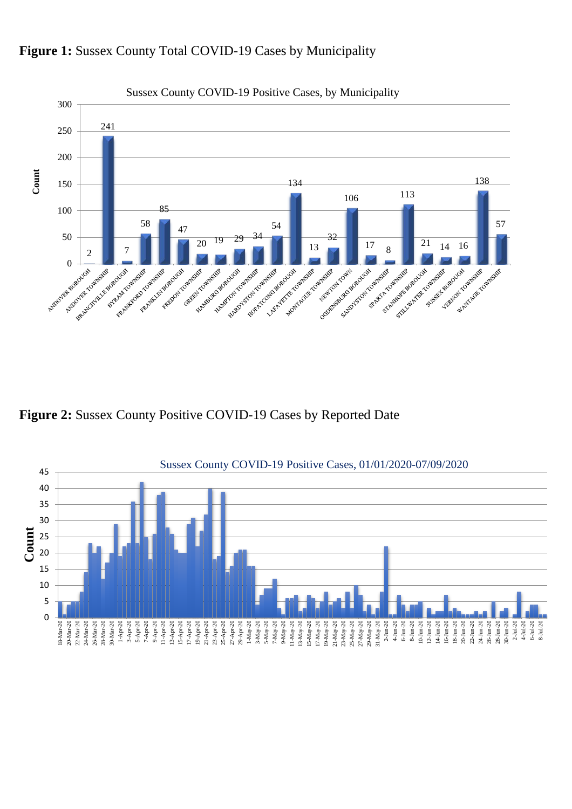

#### Figure 1: Sussex County Total COVID-19 Cases by Municipality

**Figure 2:** Sussex County Positive COVID-19 Cases by Reported Date

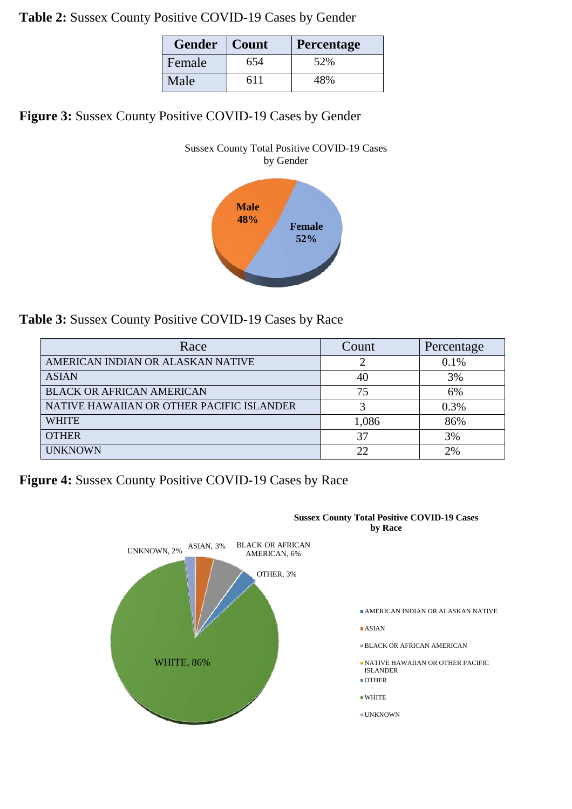**Table 2:** Sussex County Positive COVID-19 Cases by Gender

| <b>Gender</b> | Count | <b>Percentage</b> |  |
|---------------|-------|-------------------|--|
| Female        | 654   | 52%               |  |
| Male          | 611   | 48%               |  |

**Figure 3:** Sussex County Positive COVID-19 Cases by Gender



**Table 3:** Sussex County Positive COVID-19 Cases by Race

| Race                                      | Count | Percentage |
|-------------------------------------------|-------|------------|
| AMERICAN INDIAN OR ALASKAN NATIVE         |       | 0.1%       |
| <b>ASIAN</b>                              | 40    | 3%         |
| <b>BLACK OR AFRICAN AMERICAN</b>          | 75    | 6%         |
| NATIVE HAWAIIAN OR OTHER PACIFIC ISLANDER |       | 0.3%       |
| <b>WHITE</b>                              | 1,086 | 86%        |
| <b>OTHER</b>                              | 37    | 3%         |
| <b>UNKNOWN</b>                            | 22    | 2%         |

**Figure 4:** Sussex County Positive COVID-19 Cases by Race

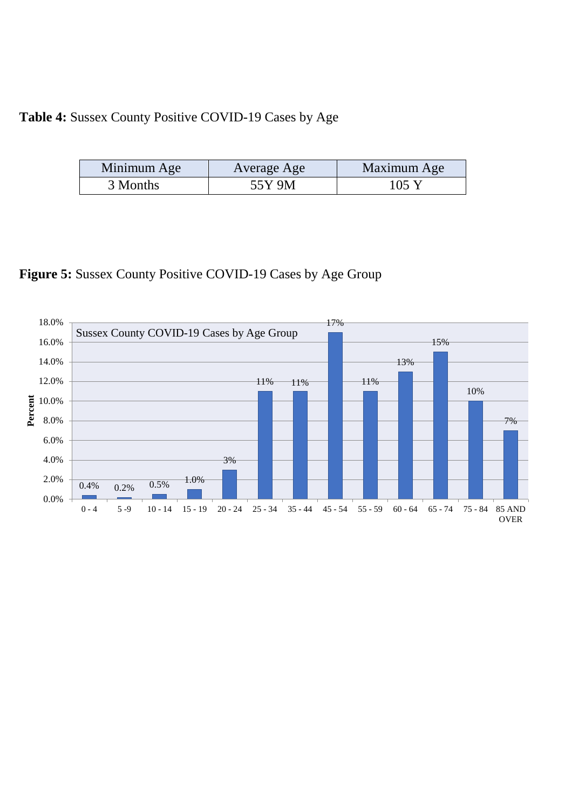## **Table 4:** Sussex County Positive COVID-19 Cases by Age

| Minimum Age | Average Age | Maximum Age     |
|-------------|-------------|-----------------|
| 3 Months    | 55Y 9M      | $105 \text{ Y}$ |

**Figure 5:** Sussex County Positive COVID-19 Cases by Age Group

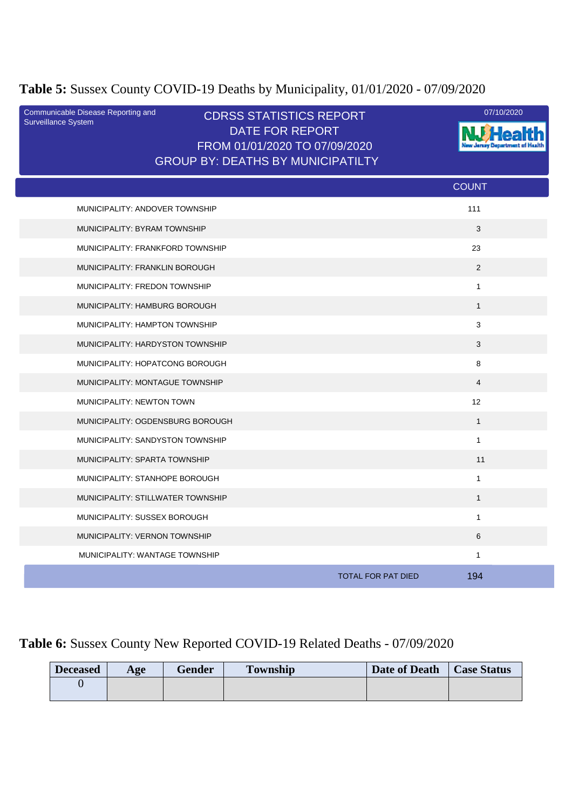# **Table 5:** Sussex County COVID-19 Deaths by Municipality, 01/01/2020 - 07/09/2020

| Communicable Disease Reporting and<br>Surveillance System | <b>CDRSS STATISTICS REPORT</b><br>DATE FOR REPORT<br>FROM 01/01/2020 TO 07/09/2020<br><b>GROUP BY: DEATHS BY MUNICIPATILTY</b> |                                  | 07/10/2020 |
|-----------------------------------------------------------|--------------------------------------------------------------------------------------------------------------------------------|----------------------------------|------------|
|                                                           |                                                                                                                                | <b>COUNT</b>                     |            |
| MUNICIPALITY: ANDOVER TOWNSHIP                            |                                                                                                                                | 111                              |            |
| MUNICIPALITY: BYRAM TOWNSHIP                              |                                                                                                                                | 3                                |            |
| MUNICIPALITY: FRANKFORD TOWNSHIP                          |                                                                                                                                | 23                               |            |
| MUNICIPALITY: FRANKLIN BOROUGH                            |                                                                                                                                | 2                                |            |
| MUNICIPALITY: FREDON TOWNSHIP                             |                                                                                                                                | $\mathbf{1}$                     |            |
| MUNICIPALITY: HAMBURG BOROUGH                             |                                                                                                                                | $\mathbf{1}$                     |            |
| MUNICIPALITY: HAMPTON TOWNSHIP                            |                                                                                                                                | 3                                |            |
| MUNICIPALITY: HARDYSTON TOWNSHIP                          |                                                                                                                                | 3                                |            |
| MUNICIPALITY: HOPATCONG BOROUGH                           |                                                                                                                                | 8                                |            |
| MUNICIPALITY: MONTAGUE TOWNSHIP                           |                                                                                                                                | $\overline{4}$                   |            |
| MUNICIPALITY: NEWTON TOWN                                 |                                                                                                                                | 12                               |            |
| MUNICIPALITY: OGDENSBURG BOROUGH                          |                                                                                                                                | $\mathbf{1}$                     |            |
| MUNICIPALITY: SANDYSTON TOWNSHIP                          |                                                                                                                                | $\mathbf{1}$                     |            |
| MUNICIPALITY: SPARTA TOWNSHIP                             |                                                                                                                                | 11                               |            |
| MUNICIPALITY: STANHOPE BOROUGH                            |                                                                                                                                | $\mathbf{1}$                     |            |
| MUNICIPALITY: STILLWATER TOWNSHIP                         |                                                                                                                                | $\mathbf{1}$                     |            |
| MUNICIPALITY: SUSSEX BOROUGH                              |                                                                                                                                | $\mathbf{1}$                     |            |
| MUNICIPALITY: VERNON TOWNSHIP                             |                                                                                                                                | 6                                |            |
| MUNICIPALITY: WANTAGE TOWNSHIP                            |                                                                                                                                | $\mathbf{1}$                     |            |
|                                                           |                                                                                                                                | 194<br><b>TOTAL FOR PAT DIED</b> |            |

# **Table 6:** Sussex County New Reported COVID-19 Related Deaths - 07/09/2020

| <b>Deceased</b> | Age | Gender | <b>Township</b> | Date of Death | <b>Case Status</b> |
|-----------------|-----|--------|-----------------|---------------|--------------------|
|                 |     |        |                 |               |                    |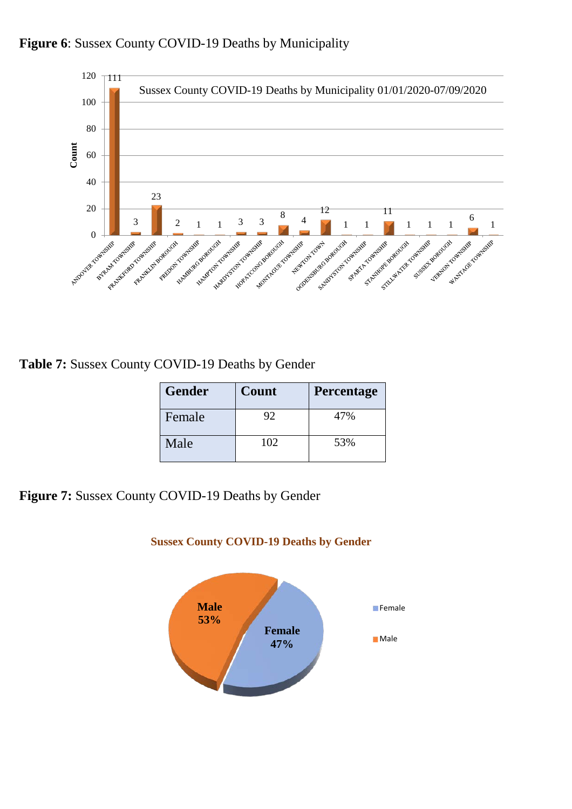



**Table 7:** Sussex County COVID-19 Deaths by Gender

| <b>Gender</b> | Count | Percentage |
|---------------|-------|------------|
| Female        | 92    | 47%        |
| Male          | 102   | 53%        |

**Figure 7:** Sussex County COVID-19 Deaths by Gender



#### **Sussex County COVID-19 Deaths by Gender**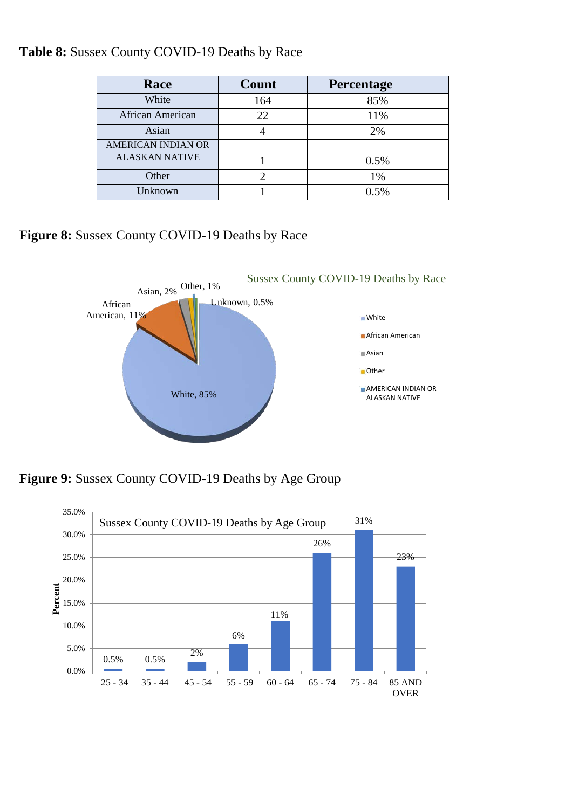| Race                  | Count | <b>Percentage</b> |
|-----------------------|-------|-------------------|
| White                 | 164   | 85%               |
| African American      | 22.   | 11%               |
| Asian                 |       | 2%                |
| AMERICAN INDIAN OR    |       |                   |
| <b>ALASKAN NATIVE</b> |       | 0.5%              |
| Other                 |       | 1%                |
| Unknown               |       | 0.5%              |

**Table 8:** Sussex County COVID-19 Deaths by Race

**Figure 8:** Sussex County COVID-19 Deaths by Race



**Figure 9:** Sussex County COVID-19 Deaths by Age Group